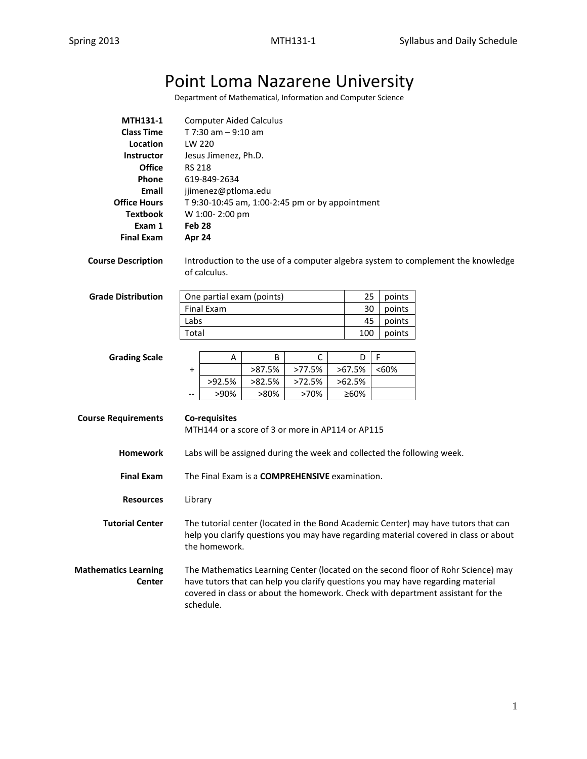# Point Loma Nazarene University

Department of Mathematical, Information and Computer Science

| <b>MTH131-1</b>     | <b>Computer Aided Calculus</b>                  |
|---------------------|-------------------------------------------------|
| <b>Class Time</b>   | T 7:30 am $-9:10$ am                            |
| Location            | LW 220                                          |
| Instructor          | Jesus Jimenez, Ph.D.                            |
| <b>Office</b>       | <b>RS 218</b>                                   |
| <b>Phone</b>        | 619-849-2634                                    |
| Email               | jjimenez@ptloma.edu                             |
| <b>Office Hours</b> | T 9:30-10:45 am, 1:00-2:45 pm or by appointment |
| <b>Textbook</b>     | W 1:00-2:00 pm                                  |
| Exam 1              | Feb <sub>28</sub>                               |
| <b>Final Exam</b>   | Apr 24                                          |

**Course Description** Introduction to the use of a computer algebra system to complement the knowledge of calculus.

| <b>Grade Distribution</b> | One partial exam (points) |     | points |
|---------------------------|---------------------------|-----|--------|
|                           | Final Exam                | 30  | points |
|                           | Labs                      | 45  | points |
|                           | Total                     | 100 | points |

| <b>Grading Scale</b> |                     |        | B       |        |           |      |
|----------------------|---------------------|--------|---------|--------|-----------|------|
|                      |                     |        | >87.5%  | >77.5% | >67.5%    | <60% |
|                      |                     | >92.5% | >82.5%  | >72.5% | $>62.5\%$ |      |
|                      | $\hspace{0.05cm} -$ | >90%   | $>80\%$ | >70%   | ≥60%      |      |

| <b>Course Requirements</b>                   | Co-requisites<br>MTH144 or a score of 3 or more in AP114 or AP115                                                                                                                                                                                                    |  |  |  |
|----------------------------------------------|----------------------------------------------------------------------------------------------------------------------------------------------------------------------------------------------------------------------------------------------------------------------|--|--|--|
| <b>Homework</b>                              | Labs will be assigned during the week and collected the following week.                                                                                                                                                                                              |  |  |  |
| <b>Final Exam</b>                            | The Final Exam is a <b>COMPREHENSIVE</b> examination.                                                                                                                                                                                                                |  |  |  |
| <b>Resources</b>                             | Library                                                                                                                                                                                                                                                              |  |  |  |
| <b>Tutorial Center</b>                       | The tutorial center (located in the Bond Academic Center) may have tutors that can<br>help you clarify questions you may have regarding material covered in class or about<br>the homework.                                                                          |  |  |  |
| <b>Mathematics Learning</b><br><b>Center</b> | The Mathematics Learning Center (located on the second floor of Rohr Science) may<br>have tutors that can help you clarify questions you may have regarding material<br>covered in class or about the homework. Check with department assistant for the<br>schedule. |  |  |  |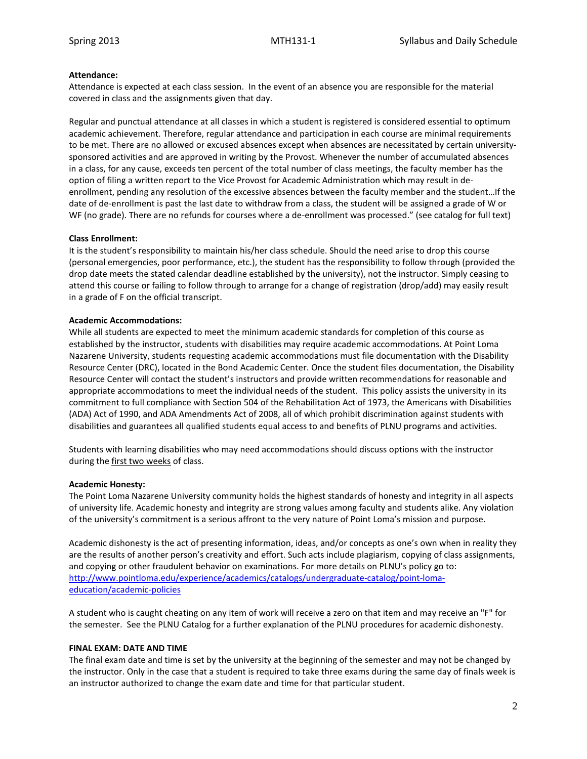## **Attendance:**

Attendance is expected at each class session. In the event of an absence you are responsible for the material covered in class and the assignments given that day.

Regular and punctual attendance at all classes in which a student is registered is considered essential to optimum academic achievement. Therefore, regular attendance and participation in each course are minimal requirements to be met. There are no allowed or excused absences except when absences are necessitated by certain universitysponsored activities and are approved in writing by the Provost. Whenever the number of accumulated absences in a class, for any cause, exceeds ten percent of the total number of class meetings, the faculty member has the option of filing a written report to the Vice Provost for Academic Administration which may result in deenrollment, pending any resolution of the excessive absences between the faculty member and the student…If the date of de-enrollment is past the last date to withdraw from a class, the student will be assigned a grade of W or WF (no grade). There are no refunds for courses where a de-enrollment was processed." (see catalog for full text)

## **Class Enrollment:**

It is the student's responsibility to maintain his/her class schedule. Should the need arise to drop this course (personal emergencies, poor performance, etc.), the student has the responsibility to follow through (provided the drop date meets the stated calendar deadline established by the university), not the instructor. Simply ceasing to attend this course or failing to follow through to arrange for a change of registration (drop/add) may easily result in a grade of F on the official transcript.

## **Academic Accommodations:**

While all students are expected to meet the minimum academic standards for completion of this course as established by the instructor, students with disabilities may require academic accommodations. At Point Loma Nazarene University, students requesting academic accommodations must file documentation with the Disability Resource Center (DRC), located in the Bond Academic Center. Once the student files documentation, the Disability Resource Center will contact the student's instructors and provide written recommendations for reasonable and appropriate accommodations to meet the individual needs of the student. This policy assists the university in its commitment to full compliance with Section 504 of the Rehabilitation Act of 1973, the Americans with Disabilities (ADA) Act of 1990, and ADA Amendments Act of 2008, all of which prohibit discrimination against students with disabilities and guarantees all qualified students equal access to and benefits of PLNU programs and activities.

Students with learning disabilities who may need accommodations should discuss options with the instructor during the first two weeks of class.

## **Academic Honesty:**

The Point Loma Nazarene University community holds the highest standards of honesty and integrity in all aspects of university life. Academic honesty and integrity are strong values among faculty and students alike. Any violation of the university's commitment is a serious affront to the very nature of Point Loma's mission and purpose.

Academic dishonesty is the act of presenting information, ideas, and/or concepts as one's own when in reality they are the results of another person's creativity and effort. Such acts include plagiarism, copying of class assignments, and copying or other fraudulent behavior on examinations. For more details on PLNU's policy go to: [http://www.pointloma.edu/experience/academics/catalogs/undergraduate-catalog/point-loma](http://www.pointloma.edu/experience/academics/catalogs/undergraduate-catalog/point-loma-education/academic-policies)[education/academic-policies](http://www.pointloma.edu/experience/academics/catalogs/undergraduate-catalog/point-loma-education/academic-policies)

A student who is caught cheating on any item of work will receive a zero on that item and may receive an "F" for the semester. See the PLNU Catalog for a further explanation of the PLNU procedures for academic dishonesty.

## **FINAL EXAM: DATE AND TIME**

The final exam date and time is set by the university at the beginning of the semester and may not be changed by the instructor. Only in the case that a student is required to take three exams during the same day of finals week is an instructor authorized to change the exam date and time for that particular student.